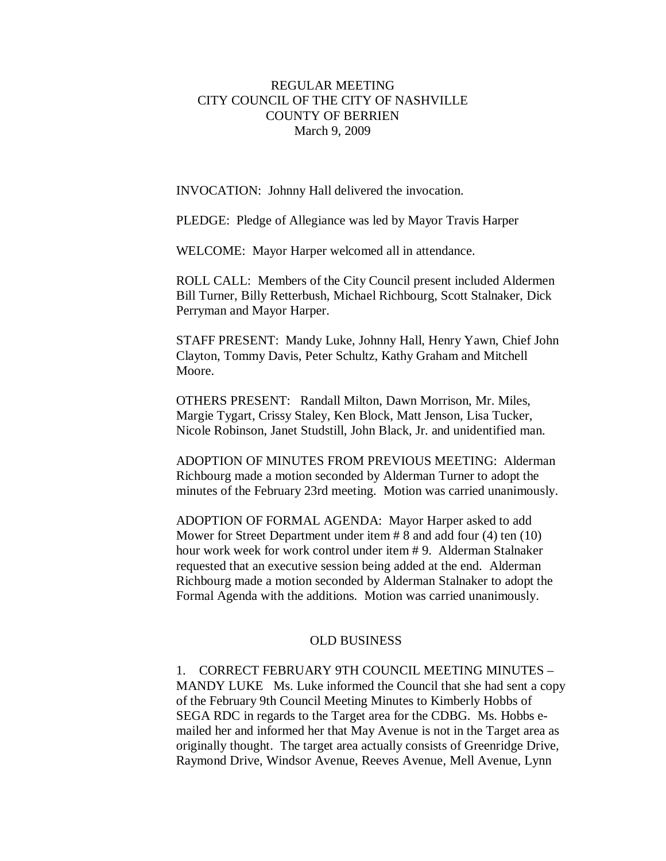# REGULAR MEETING CITY COUNCIL OF THE CITY OF NASHVILLE COUNTY OF BERRIEN March 9, 2009

INVOCATION: Johnny Hall delivered the invocation.

PLEDGE: Pledge of Allegiance was led by Mayor Travis Harper

WELCOME: Mayor Harper welcomed all in attendance.

ROLL CALL: Members of the City Council present included Aldermen Bill Turner, Billy Retterbush, Michael Richbourg, Scott Stalnaker, Dick Perryman and Mayor Harper.

STAFF PRESENT: Mandy Luke, Johnny Hall, Henry Yawn, Chief John Clayton, Tommy Davis, Peter Schultz, Kathy Graham and Mitchell Moore.

OTHERS PRESENT: Randall Milton, Dawn Morrison, Mr. Miles, Margie Tygart, Crissy Staley, Ken Block, Matt Jenson, Lisa Tucker, Nicole Robinson, Janet Studstill, John Black, Jr. and unidentified man.

ADOPTION OF MINUTES FROM PREVIOUS MEETING: Alderman Richbourg made a motion seconded by Alderman Turner to adopt the minutes of the February 23rd meeting. Motion was carried unanimously.

ADOPTION OF FORMAL AGENDA: Mayor Harper asked to add Mower for Street Department under item # 8 and add four (4) ten (10) hour work week for work control under item # 9. Alderman Stalnaker requested that an executive session being added at the end. Alderman Richbourg made a motion seconded by Alderman Stalnaker to adopt the Formal Agenda with the additions. Motion was carried unanimously.

## OLD BUSINESS

1. CORRECT FEBRUARY 9TH COUNCIL MEETING MINUTES – MANDY LUKE Ms. Luke informed the Council that she had sent a copy of the February 9th Council Meeting Minutes to Kimberly Hobbs of SEGA RDC in regards to the Target area for the CDBG. Ms. Hobbs emailed her and informed her that May Avenue is not in the Target area as originally thought. The target area actually consists of Greenridge Drive, Raymond Drive, Windsor Avenue, Reeves Avenue, Mell Avenue, Lynn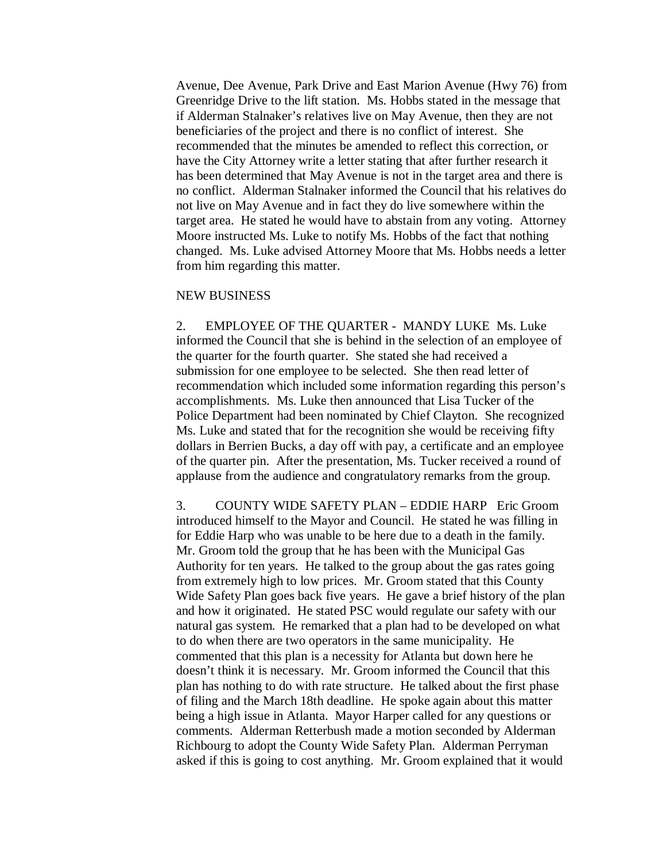Avenue, Dee Avenue, Park Drive and East Marion Avenue (Hwy 76) from Greenridge Drive to the lift station. Ms. Hobbs stated in the message that if Alderman Stalnaker's relatives live on May Avenue, then they are not beneficiaries of the project and there is no conflict of interest. She recommended that the minutes be amended to reflect this correction, or have the City Attorney write a letter stating that after further research it has been determined that May Avenue is not in the target area and there is no conflict. Alderman Stalnaker informed the Council that his relatives do not live on May Avenue and in fact they do live somewhere within the target area. He stated he would have to abstain from any voting. Attorney Moore instructed Ms. Luke to notify Ms. Hobbs of the fact that nothing changed. Ms. Luke advised Attorney Moore that Ms. Hobbs needs a letter from him regarding this matter.

### NEW BUSINESS

2. EMPLOYEE OF THE QUARTER - MANDY LUKE Ms. Luke informed the Council that she is behind in the selection of an employee of the quarter for the fourth quarter. She stated she had received a submission for one employee to be selected. She then read letter of recommendation which included some information regarding this person's accomplishments. Ms. Luke then announced that Lisa Tucker of the Police Department had been nominated by Chief Clayton. She recognized Ms. Luke and stated that for the recognition she would be receiving fifty dollars in Berrien Bucks, a day off with pay, a certificate and an employee of the quarter pin. After the presentation, Ms. Tucker received a round of applause from the audience and congratulatory remarks from the group.

3. COUNTY WIDE SAFETY PLAN – EDDIE HARP Eric Groom introduced himself to the Mayor and Council. He stated he was filling in for Eddie Harp who was unable to be here due to a death in the family. Mr. Groom told the group that he has been with the Municipal Gas Authority for ten years. He talked to the group about the gas rates going from extremely high to low prices. Mr. Groom stated that this County Wide Safety Plan goes back five years. He gave a brief history of the plan and how it originated. He stated PSC would regulate our safety with our natural gas system. He remarked that a plan had to be developed on what to do when there are two operators in the same municipality. He commented that this plan is a necessity for Atlanta but down here he doesn't think it is necessary. Mr. Groom informed the Council that this plan has nothing to do with rate structure. He talked about the first phase of filing and the March 18th deadline. He spoke again about this matter being a high issue in Atlanta. Mayor Harper called for any questions or comments. Alderman Retterbush made a motion seconded by Alderman Richbourg to adopt the County Wide Safety Plan. Alderman Perryman asked if this is going to cost anything. Mr. Groom explained that it would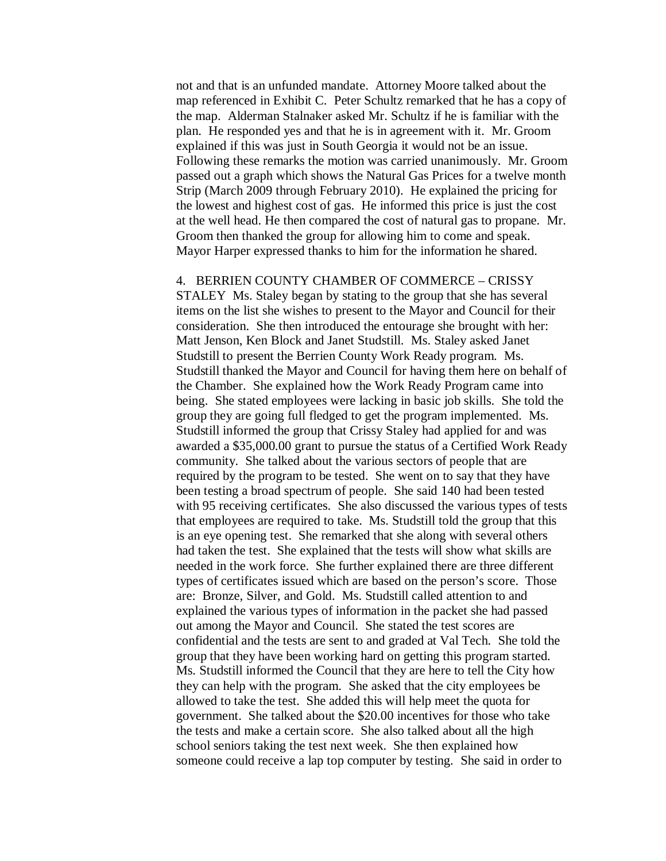not and that is an unfunded mandate. Attorney Moore talked about the map referenced in Exhibit C. Peter Schultz remarked that he has a copy of the map. Alderman Stalnaker asked Mr. Schultz if he is familiar with the plan. He responded yes and that he is in agreement with it. Mr. Groom explained if this was just in South Georgia it would not be an issue. Following these remarks the motion was carried unanimously. Mr. Groom passed out a graph which shows the Natural Gas Prices for a twelve month Strip (March 2009 through February 2010). He explained the pricing for the lowest and highest cost of gas. He informed this price is just the cost at the well head. He then compared the cost of natural gas to propane. Mr. Groom then thanked the group for allowing him to come and speak. Mayor Harper expressed thanks to him for the information he shared.

#### 4. BERRIEN COUNTY CHAMBER OF COMMERCE – CRISSY

STALEY Ms. Staley began by stating to the group that she has several items on the list she wishes to present to the Mayor and Council for their consideration. She then introduced the entourage she brought with her: Matt Jenson, Ken Block and Janet Studstill. Ms. Staley asked Janet Studstill to present the Berrien County Work Ready program. Ms. Studstill thanked the Mayor and Council for having them here on behalf of the Chamber. She explained how the Work Ready Program came into being. She stated employees were lacking in basic job skills. She told the group they are going full fledged to get the program implemented. Ms. Studstill informed the group that Crissy Staley had applied for and was awarded a \$35,000.00 grant to pursue the status of a Certified Work Ready community. She talked about the various sectors of people that are required by the program to be tested. She went on to say that they have been testing a broad spectrum of people. She said 140 had been tested with 95 receiving certificates. She also discussed the various types of tests that employees are required to take. Ms. Studstill told the group that this is an eye opening test. She remarked that she along with several others had taken the test. She explained that the tests will show what skills are needed in the work force. She further explained there are three different types of certificates issued which are based on the person's score. Those are: Bronze, Silver, and Gold. Ms. Studstill called attention to and explained the various types of information in the packet she had passed out among the Mayor and Council. She stated the test scores are confidential and the tests are sent to and graded at Val Tech. She told the group that they have been working hard on getting this program started. Ms. Studstill informed the Council that they are here to tell the City how they can help with the program. She asked that the city employees be allowed to take the test. She added this will help meet the quota for government. She talked about the \$20.00 incentives for those who take the tests and make a certain score. She also talked about all the high school seniors taking the test next week. She then explained how someone could receive a lap top computer by testing. She said in order to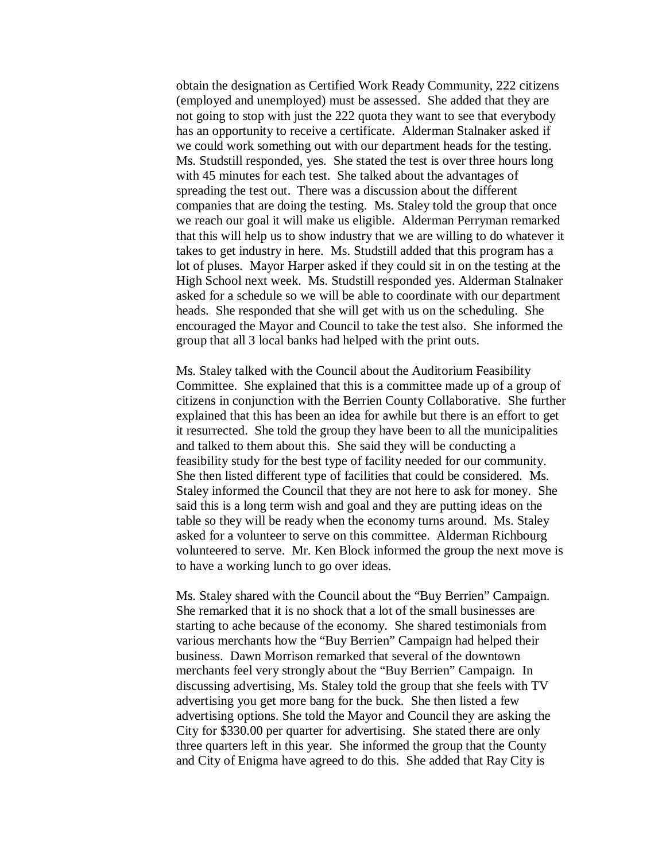obtain the designation as Certified Work Ready Community, 222 citizens (employed and unemployed) must be assessed. She added that they are not going to stop with just the 222 quota they want to see that everybody has an opportunity to receive a certificate. Alderman Stalnaker asked if we could work something out with our department heads for the testing. Ms. Studstill responded, yes. She stated the test is over three hours long with 45 minutes for each test. She talked about the advantages of spreading the test out. There was a discussion about the different companies that are doing the testing. Ms. Staley told the group that once we reach our goal it will make us eligible. Alderman Perryman remarked that this will help us to show industry that we are willing to do whatever it takes to get industry in here. Ms. Studstill added that this program has a lot of pluses. Mayor Harper asked if they could sit in on the testing at the High School next week. Ms. Studstill responded yes. Alderman Stalnaker asked for a schedule so we will be able to coordinate with our department heads. She responded that she will get with us on the scheduling. She encouraged the Mayor and Council to take the test also. She informed the group that all 3 local banks had helped with the print outs.

Ms. Staley talked with the Council about the Auditorium Feasibility Committee. She explained that this is a committee made up of a group of citizens in conjunction with the Berrien County Collaborative. She further explained that this has been an idea for awhile but there is an effort to get it resurrected. She told the group they have been to all the municipalities and talked to them about this. She said they will be conducting a feasibility study for the best type of facility needed for our community. She then listed different type of facilities that could be considered. Ms. Staley informed the Council that they are not here to ask for money. She said this is a long term wish and goal and they are putting ideas on the table so they will be ready when the economy turns around. Ms. Staley asked for a volunteer to serve on this committee. Alderman Richbourg volunteered to serve. Mr. Ken Block informed the group the next move is to have a working lunch to go over ideas.

Ms. Staley shared with the Council about the "Buy Berrien" Campaign. She remarked that it is no shock that a lot of the small businesses are starting to ache because of the economy. She shared testimonials from various merchants how the "Buy Berrien" Campaign had helped their business. Dawn Morrison remarked that several of the downtown merchants feel very strongly about the "Buy Berrien" Campaign. In discussing advertising, Ms. Staley told the group that she feels with TV advertising you get more bang for the buck. She then listed a few advertising options. She told the Mayor and Council they are asking the City for \$330.00 per quarter for advertising. She stated there are only three quarters left in this year. She informed the group that the County and City of Enigma have agreed to do this. She added that Ray City is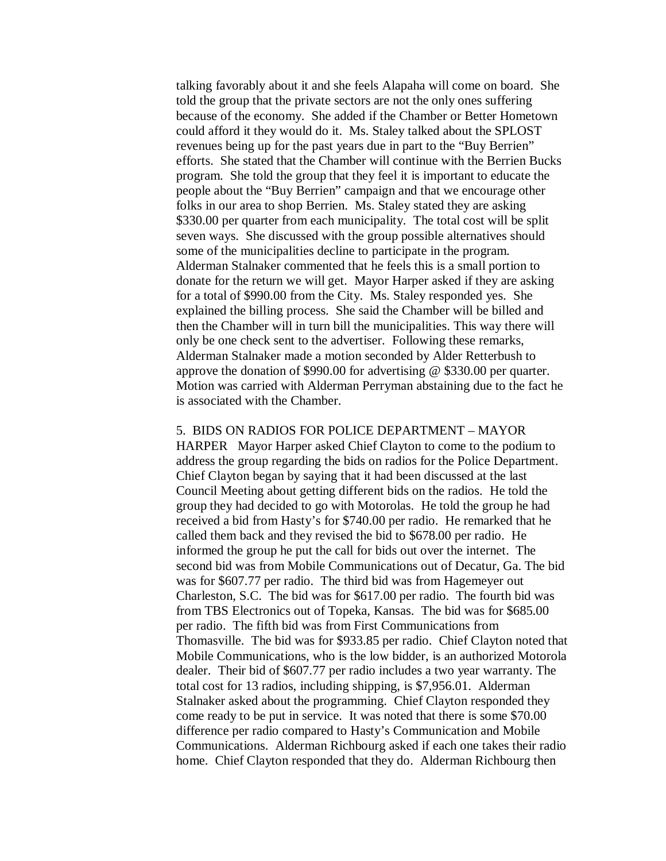talking favorably about it and she feels Alapaha will come on board. She told the group that the private sectors are not the only ones suffering because of the economy. She added if the Chamber or Better Hometown could afford it they would do it. Ms. Staley talked about the SPLOST revenues being up for the past years due in part to the "Buy Berrien" efforts. She stated that the Chamber will continue with the Berrien Bucks program. She told the group that they feel it is important to educate the people about the "Buy Berrien" campaign and that we encourage other folks in our area to shop Berrien. Ms. Staley stated they are asking \$330.00 per quarter from each municipality. The total cost will be split seven ways. She discussed with the group possible alternatives should some of the municipalities decline to participate in the program. Alderman Stalnaker commented that he feels this is a small portion to donate for the return we will get. Mayor Harper asked if they are asking for a total of \$990.00 from the City. Ms. Staley responded yes. She explained the billing process. She said the Chamber will be billed and then the Chamber will in turn bill the municipalities. This way there will only be one check sent to the advertiser. Following these remarks, Alderman Stalnaker made a motion seconded by Alder Retterbush to approve the donation of \$990.00 for advertising @ \$330.00 per quarter. Motion was carried with Alderman Perryman abstaining due to the fact he is associated with the Chamber.

# 5. BIDS ON RADIOS FOR POLICE DEPARTMENT – MAYOR

HARPER Mayor Harper asked Chief Clayton to come to the podium to address the group regarding the bids on radios for the Police Department. Chief Clayton began by saying that it had been discussed at the last Council Meeting about getting different bids on the radios. He told the group they had decided to go with Motorolas. He told the group he had received a bid from Hasty's for \$740.00 per radio. He remarked that he called them back and they revised the bid to \$678.00 per radio. He informed the group he put the call for bids out over the internet. The second bid was from Mobile Communications out of Decatur, Ga. The bid was for \$607.77 per radio. The third bid was from Hagemeyer out Charleston, S.C. The bid was for \$617.00 per radio. The fourth bid was from TBS Electronics out of Topeka, Kansas. The bid was for \$685.00 per radio. The fifth bid was from First Communications from Thomasville. The bid was for \$933.85 per radio. Chief Clayton noted that Mobile Communications, who is the low bidder, is an authorized Motorola dealer. Their bid of \$607.77 per radio includes a two year warranty. The total cost for 13 radios, including shipping, is \$7,956.01. Alderman Stalnaker asked about the programming. Chief Clayton responded they come ready to be put in service. It was noted that there is some \$70.00 difference per radio compared to Hasty's Communication and Mobile Communications. Alderman Richbourg asked if each one takes their radio home. Chief Clayton responded that they do. Alderman Richbourg then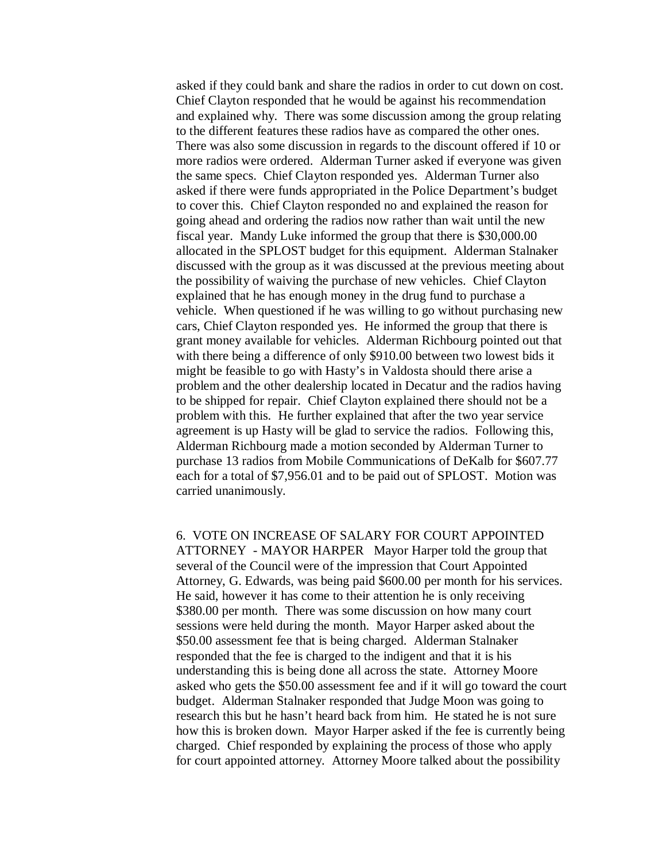asked if they could bank and share the radios in order to cut down on cost. Chief Clayton responded that he would be against his recommendation and explained why. There was some discussion among the group relating to the different features these radios have as compared the other ones. There was also some discussion in regards to the discount offered if 10 or more radios were ordered. Alderman Turner asked if everyone was given the same specs. Chief Clayton responded yes. Alderman Turner also asked if there were funds appropriated in the Police Department's budget to cover this. Chief Clayton responded no and explained the reason for going ahead and ordering the radios now rather than wait until the new fiscal year. Mandy Luke informed the group that there is \$30,000.00 allocated in the SPLOST budget for this equipment. Alderman Stalnaker discussed with the group as it was discussed at the previous meeting about the possibility of waiving the purchase of new vehicles. Chief Clayton explained that he has enough money in the drug fund to purchase a vehicle. When questioned if he was willing to go without purchasing new cars, Chief Clayton responded yes. He informed the group that there is grant money available for vehicles. Alderman Richbourg pointed out that with there being a difference of only \$910.00 between two lowest bids it might be feasible to go with Hasty's in Valdosta should there arise a problem and the other dealership located in Decatur and the radios having to be shipped for repair. Chief Clayton explained there should not be a problem with this. He further explained that after the two year service agreement is up Hasty will be glad to service the radios. Following this, Alderman Richbourg made a motion seconded by Alderman Turner to purchase 13 radios from Mobile Communications of DeKalb for \$607.77 each for a total of \$7,956.01 and to be paid out of SPLOST. Motion was carried unanimously.

6. VOTE ON INCREASE OF SALARY FOR COURT APPOINTED ATTORNEY - MAYOR HARPER Mayor Harper told the group that several of the Council were of the impression that Court Appointed Attorney, G. Edwards, was being paid \$600.00 per month for his services. He said, however it has come to their attention he is only receiving \$380.00 per month. There was some discussion on how many court sessions were held during the month. Mayor Harper asked about the \$50.00 assessment fee that is being charged. Alderman Stalnaker responded that the fee is charged to the indigent and that it is his understanding this is being done all across the state. Attorney Moore asked who gets the \$50.00 assessment fee and if it will go toward the court budget. Alderman Stalnaker responded that Judge Moon was going to research this but he hasn't heard back from him. He stated he is not sure how this is broken down. Mayor Harper asked if the fee is currently being charged. Chief responded by explaining the process of those who apply for court appointed attorney. Attorney Moore talked about the possibility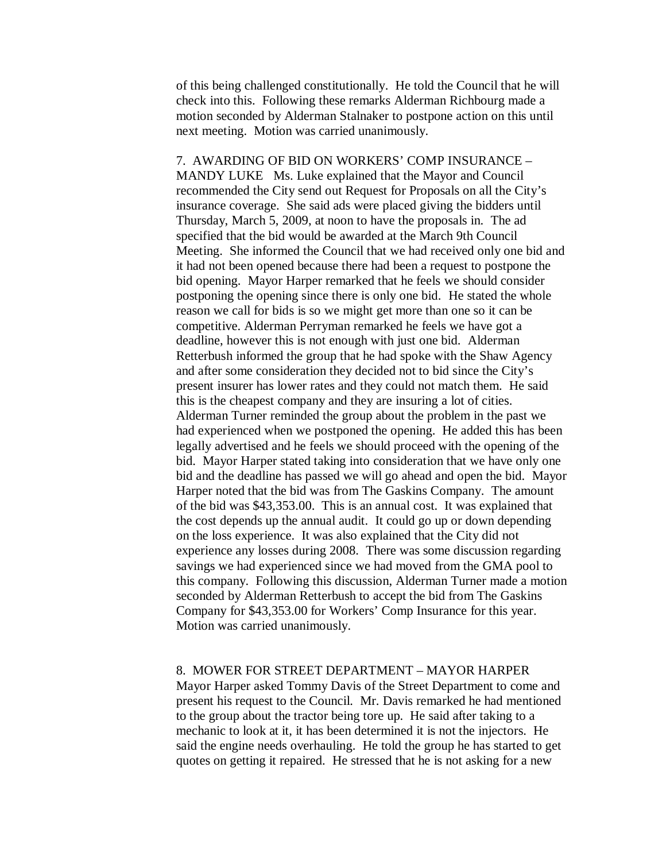of this being challenged constitutionally. He told the Council that he will check into this. Following these remarks Alderman Richbourg made a motion seconded by Alderman Stalnaker to postpone action on this until next meeting. Motion was carried unanimously.

7. AWARDING OF BID ON WORKERS' COMP INSURANCE – MANDY LUKE Ms. Luke explained that the Mayor and Council recommended the City send out Request for Proposals on all the City's insurance coverage. She said ads were placed giving the bidders until Thursday, March 5, 2009, at noon to have the proposals in. The ad specified that the bid would be awarded at the March 9th Council Meeting. She informed the Council that we had received only one bid and it had not been opened because there had been a request to postpone the bid opening. Mayor Harper remarked that he feels we should consider postponing the opening since there is only one bid. He stated the whole reason we call for bids is so we might get more than one so it can be competitive. Alderman Perryman remarked he feels we have got a deadline, however this is not enough with just one bid. Alderman Retterbush informed the group that he had spoke with the Shaw Agency and after some consideration they decided not to bid since the City's present insurer has lower rates and they could not match them. He said this is the cheapest company and they are insuring a lot of cities. Alderman Turner reminded the group about the problem in the past we had experienced when we postponed the opening. He added this has been legally advertised and he feels we should proceed with the opening of the bid. Mayor Harper stated taking into consideration that we have only one bid and the deadline has passed we will go ahead and open the bid. Mayor Harper noted that the bid was from The Gaskins Company. The amount of the bid was \$43,353.00. This is an annual cost. It was explained that the cost depends up the annual audit. It could go up or down depending on the loss experience. It was also explained that the City did not experience any losses during 2008. There was some discussion regarding savings we had experienced since we had moved from the GMA pool to this company. Following this discussion, Alderman Turner made a motion seconded by Alderman Retterbush to accept the bid from The Gaskins Company for \$43,353.00 for Workers' Comp Insurance for this year. Motion was carried unanimously.

# 8. MOWER FOR STREET DEPARTMENT – MAYOR HARPER

Mayor Harper asked Tommy Davis of the Street Department to come and present his request to the Council. Mr. Davis remarked he had mentioned to the group about the tractor being tore up. He said after taking to a mechanic to look at it, it has been determined it is not the injectors. He said the engine needs overhauling. He told the group he has started to get quotes on getting it repaired. He stressed that he is not asking for a new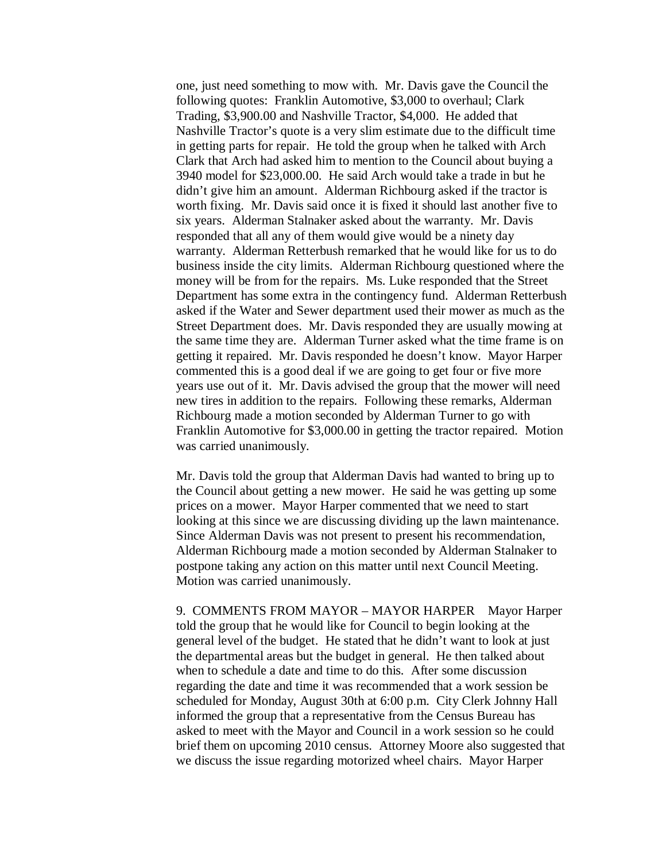one, just need something to mow with. Mr. Davis gave the Council the following quotes: Franklin Automotive, \$3,000 to overhaul; Clark Trading, \$3,900.00 and Nashville Tractor, \$4,000. He added that Nashville Tractor's quote is a very slim estimate due to the difficult time in getting parts for repair. He told the group when he talked with Arch Clark that Arch had asked him to mention to the Council about buying a 3940 model for \$23,000.00. He said Arch would take a trade in but he didn't give him an amount. Alderman Richbourg asked if the tractor is worth fixing. Mr. Davis said once it is fixed it should last another five to six years. Alderman Stalnaker asked about the warranty. Mr. Davis responded that all any of them would give would be a ninety day warranty. Alderman Retterbush remarked that he would like for us to do business inside the city limits. Alderman Richbourg questioned where the money will be from for the repairs. Ms. Luke responded that the Street Department has some extra in the contingency fund. Alderman Retterbush asked if the Water and Sewer department used their mower as much as the Street Department does. Mr. Davis responded they are usually mowing at the same time they are. Alderman Turner asked what the time frame is on getting it repaired. Mr. Davis responded he doesn't know. Mayor Harper commented this is a good deal if we are going to get four or five more years use out of it. Mr. Davis advised the group that the mower will need new tires in addition to the repairs. Following these remarks, Alderman Richbourg made a motion seconded by Alderman Turner to go with Franklin Automotive for \$3,000.00 in getting the tractor repaired. Motion was carried unanimously.

Mr. Davis told the group that Alderman Davis had wanted to bring up to the Council about getting a new mower. He said he was getting up some prices on a mower. Mayor Harper commented that we need to start looking at this since we are discussing dividing up the lawn maintenance. Since Alderman Davis was not present to present his recommendation, Alderman Richbourg made a motion seconded by Alderman Stalnaker to postpone taking any action on this matter until next Council Meeting. Motion was carried unanimously.

9. COMMENTS FROM MAYOR – MAYOR HARPER Mayor Harper told the group that he would like for Council to begin looking at the general level of the budget. He stated that he didn't want to look at just the departmental areas but the budget in general. He then talked about when to schedule a date and time to do this. After some discussion regarding the date and time it was recommended that a work session be scheduled for Monday, August 30th at 6:00 p.m. City Clerk Johnny Hall informed the group that a representative from the Census Bureau has asked to meet with the Mayor and Council in a work session so he could brief them on upcoming 2010 census. Attorney Moore also suggested that we discuss the issue regarding motorized wheel chairs. Mayor Harper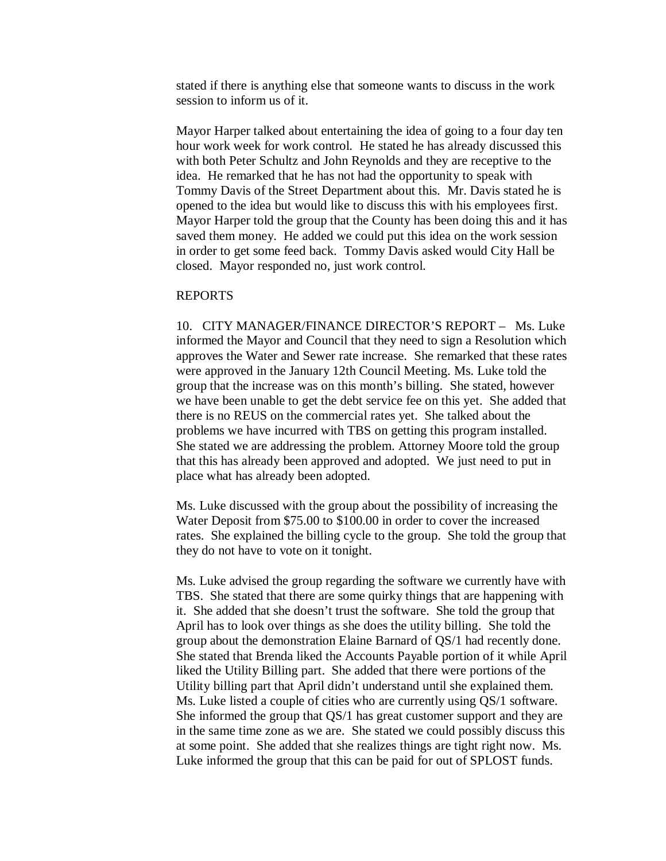stated if there is anything else that someone wants to discuss in the work session to inform us of it.

Mayor Harper talked about entertaining the idea of going to a four day ten hour work week for work control. He stated he has already discussed this with both Peter Schultz and John Reynolds and they are receptive to the idea. He remarked that he has not had the opportunity to speak with Tommy Davis of the Street Department about this. Mr. Davis stated he is opened to the idea but would like to discuss this with his employees first. Mayor Harper told the group that the County has been doing this and it has saved them money. He added we could put this idea on the work session in order to get some feed back. Tommy Davis asked would City Hall be closed. Mayor responded no, just work control.

#### REPORTS

10. CITY MANAGER/FINANCE DIRECTOR'S REPORT – Ms. Luke informed the Mayor and Council that they need to sign a Resolution which approves the Water and Sewer rate increase. She remarked that these rates were approved in the January 12th Council Meeting. Ms. Luke told the group that the increase was on this month's billing. She stated, however we have been unable to get the debt service fee on this yet. She added that there is no REUS on the commercial rates yet. She talked about the problems we have incurred with TBS on getting this program installed. She stated we are addressing the problem. Attorney Moore told the group that this has already been approved and adopted. We just need to put in place what has already been adopted.

Ms. Luke discussed with the group about the possibility of increasing the Water Deposit from \$75.00 to \$100.00 in order to cover the increased rates. She explained the billing cycle to the group. She told the group that they do not have to vote on it tonight.

Ms. Luke advised the group regarding the software we currently have with TBS. She stated that there are some quirky things that are happening with it. She added that she doesn't trust the software. She told the group that April has to look over things as she does the utility billing. She told the group about the demonstration Elaine Barnard of QS/1 had recently done. She stated that Brenda liked the Accounts Payable portion of it while April liked the Utility Billing part. She added that there were portions of the Utility billing part that April didn't understand until she explained them. Ms. Luke listed a couple of cities who are currently using QS/1 software. She informed the group that QS/1 has great customer support and they are in the same time zone as we are. She stated we could possibly discuss this at some point. She added that she realizes things are tight right now. Ms. Luke informed the group that this can be paid for out of SPLOST funds.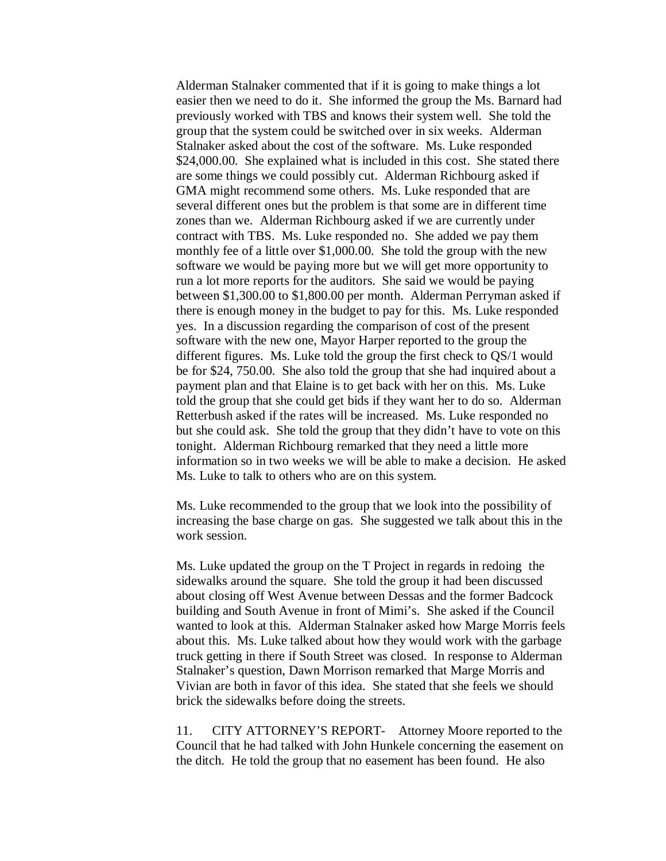Alderman Stalnaker commented that if it is going to make things a lot easier then we need to do it. She informed the group the Ms. Barnard had previously worked with TBS and knows their system well. She told the group that the system could be switched over in six weeks. Alderman Stalnaker asked about the cost of the software. Ms. Luke responded \$24,000.00. She explained what is included in this cost. She stated there are some things we could possibly cut. Alderman Richbourg asked if GMA might recommend some others. Ms. Luke responded that are several different ones but the problem is that some are in different time zones than we. Alderman Richbourg asked if we are currently under contract with TBS. Ms. Luke responded no. She added we pay them monthly fee of a little over \$1,000.00. She told the group with the new software we would be paying more but we will get more opportunity to run a lot more reports for the auditors. She said we would be paying between \$1,300.00 to \$1,800.00 per month. Alderman Perryman asked if there is enough money in the budget to pay for this. Ms. Luke responded yes. In a discussion regarding the comparison of cost of the present software with the new one, Mayor Harper reported to the group the different figures. Ms. Luke told the group the first check to QS/1 would be for \$24, 750.00. She also told the group that she had inquired about a payment plan and that Elaine is to get back with her on this. Ms. Luke told the group that she could get bids if they want her to do so. Alderman Retterbush asked if the rates will be increased. Ms. Luke responded no but she could ask. She told the group that they didn't have to vote on this tonight. Alderman Richbourg remarked that they need a little more information so in two weeks we will be able to make a decision. He asked Ms. Luke to talk to others who are on this system.

Ms. Luke recommended to the group that we look into the possibility of increasing the base charge on gas. She suggested we talk about this in the work session.

Ms. Luke updated the group on the T Project in regards in redoing the sidewalks around the square. She told the group it had been discussed about closing off West Avenue between Dessas and the former Badcock building and South Avenue in front of Mimi's. She asked if the Council wanted to look at this. Alderman Stalnaker asked how Marge Morris feels about this. Ms. Luke talked about how they would work with the garbage truck getting in there if South Street was closed. In response to Alderman Stalnaker's question, Dawn Morrison remarked that Marge Morris and Vivian are both in favor of this idea. She stated that she feels we should brick the sidewalks before doing the streets.

11. CITY ATTORNEY'S REPORT- Attorney Moore reported to the Council that he had talked with John Hunkele concerning the easement on the ditch. He told the group that no easement has been found. He also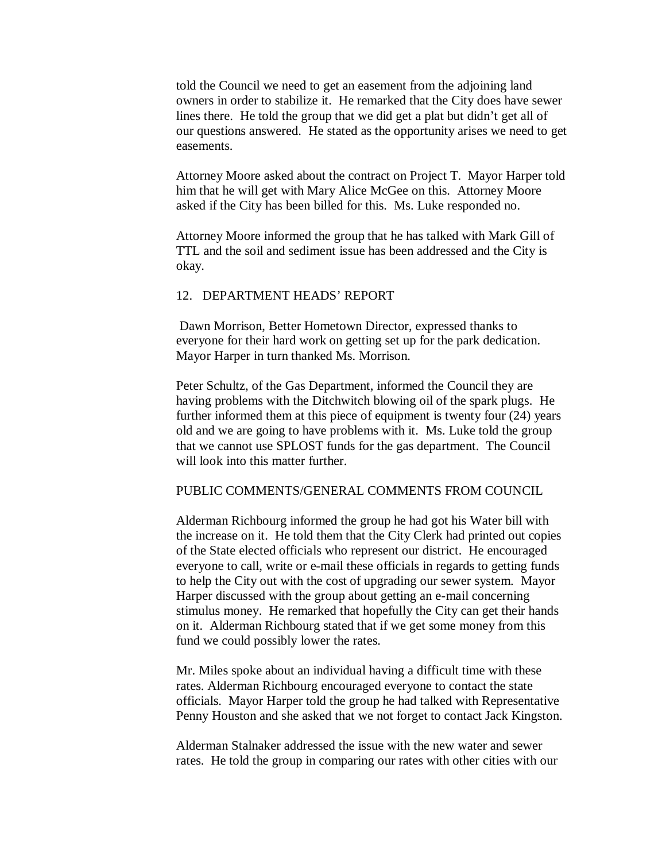told the Council we need to get an easement from the adjoining land owners in order to stabilize it. He remarked that the City does have sewer lines there. He told the group that we did get a plat but didn't get all of our questions answered. He stated as the opportunity arises we need to get easements.

Attorney Moore asked about the contract on Project T. Mayor Harper told him that he will get with Mary Alice McGee on this. Attorney Moore asked if the City has been billed for this. Ms. Luke responded no.

Attorney Moore informed the group that he has talked with Mark Gill of TTL and the soil and sediment issue has been addressed and the City is okay.

# 12. DEPARTMENT HEADS' REPORT

Dawn Morrison, Better Hometown Director, expressed thanks to everyone for their hard work on getting set up for the park dedication. Mayor Harper in turn thanked Ms. Morrison.

Peter Schultz, of the Gas Department, informed the Council they are having problems with the Ditchwitch blowing oil of the spark plugs. He further informed them at this piece of equipment is twenty four (24) years old and we are going to have problems with it. Ms. Luke told the group that we cannot use SPLOST funds for the gas department. The Council will look into this matter further.

# PUBLIC COMMENTS/GENERAL COMMENTS FROM COUNCIL

Alderman Richbourg informed the group he had got his Water bill with the increase on it. He told them that the City Clerk had printed out copies of the State elected officials who represent our district. He encouraged everyone to call, write or e-mail these officials in regards to getting funds to help the City out with the cost of upgrading our sewer system. Mayor Harper discussed with the group about getting an e-mail concerning stimulus money. He remarked that hopefully the City can get their hands on it. Alderman Richbourg stated that if we get some money from this fund we could possibly lower the rates.

Mr. Miles spoke about an individual having a difficult time with these rates. Alderman Richbourg encouraged everyone to contact the state officials. Mayor Harper told the group he had talked with Representative Penny Houston and she asked that we not forget to contact Jack Kingston.

Alderman Stalnaker addressed the issue with the new water and sewer rates. He told the group in comparing our rates with other cities with our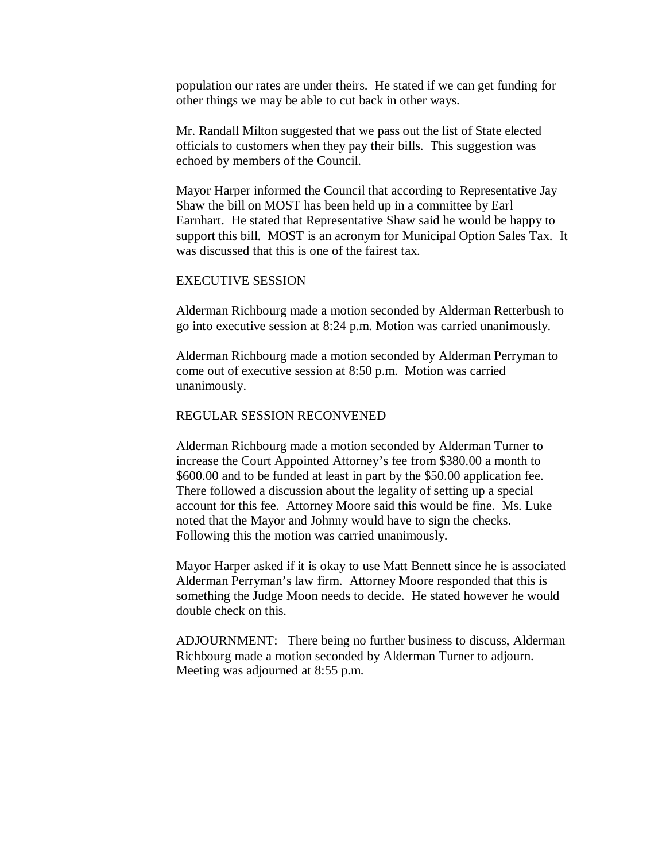population our rates are under theirs. He stated if we can get funding for other things we may be able to cut back in other ways.

Mr. Randall Milton suggested that we pass out the list of State elected officials to customers when they pay their bills. This suggestion was echoed by members of the Council.

Mayor Harper informed the Council that according to Representative Jay Shaw the bill on MOST has been held up in a committee by Earl Earnhart. He stated that Representative Shaw said he would be happy to support this bill. MOST is an acronym for Municipal Option Sales Tax. It was discussed that this is one of the fairest tax.

# EXECUTIVE SESSION

Alderman Richbourg made a motion seconded by Alderman Retterbush to go into executive session at 8:24 p.m. Motion was carried unanimously.

Alderman Richbourg made a motion seconded by Alderman Perryman to come out of executive session at 8:50 p.m. Motion was carried unanimously.

# REGULAR SESSION RECONVENED

Alderman Richbourg made a motion seconded by Alderman Turner to increase the Court Appointed Attorney's fee from \$380.00 a month to \$600.00 and to be funded at least in part by the \$50.00 application fee. There followed a discussion about the legality of setting up a special account for this fee. Attorney Moore said this would be fine. Ms. Luke noted that the Mayor and Johnny would have to sign the checks. Following this the motion was carried unanimously.

Mayor Harper asked if it is okay to use Matt Bennett since he is associated Alderman Perryman's law firm. Attorney Moore responded that this is something the Judge Moon needs to decide. He stated however he would double check on this.

ADJOURNMENT: There being no further business to discuss, Alderman Richbourg made a motion seconded by Alderman Turner to adjourn. Meeting was adjourned at 8:55 p.m.